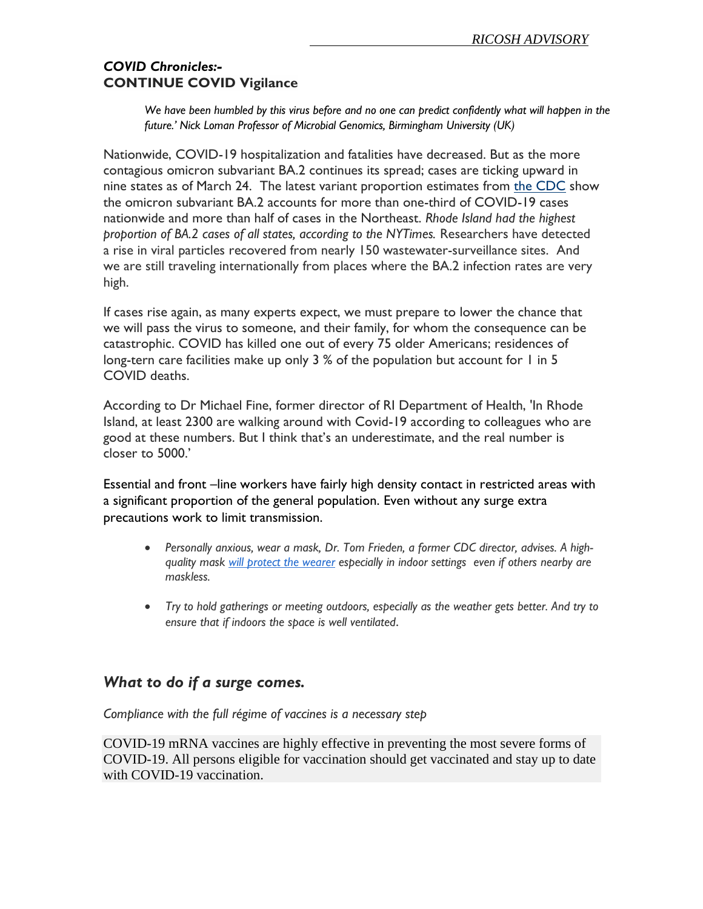## *COVID Chronicles:-* **CONTINUE COVID Vigilance**

*We have been humbled by this virus before and no one can predict confidently what will happen in the future.' Nick Loman Professor of Microbial Genomics, Birmingham University (UK)*

Nationwide, COVID-19 hospitalization and fatalities have decreased. But as the more contagious omicron subvariant BA.2 continues its spread; cases are ticking upward in nine states as of March 24. The latest variant proportion estimates from [the CDC](https://www.beckershospitalreview.com/public-health/omicron-subvariant-accounts-for-35-of-us-covid-19-cases-4-notes.html?utm_campaign=bhr&utm_source=website&utm_content=most-read) show the omicron subvariant BA.2 accounts for more than one-third of COVID-19 cases nationwide and more than half of cases in the Northeast. *Rhode Island had the highest proportion of BA.2 cases of all states, according to the NYTimes.* Researchers have detected a rise in viral particles recovered from nearly 150 wastewater-surveillance sites. And we are still traveling internationally from places where the BA.2 infection rates are very high.

If cases rise again, as many experts expect, we must prepare to lower the chance that we will pass the virus to someone, and their family, for whom the consequence can be catastrophic. COVID has killed one out of every 75 older Americans; residences of long-tern care facilities make up only 3 % of the population but account for 1 in 5 COVID deaths.

According to Dr Michael Fine, former director of RI Department of Health, 'In Rhode Island, at least 2300 are walking around with Covid-19 according to colleagues who are good at these numbers. But I think that's an underestimate, and the real number is closer to 5000.'

Essential and front –line workers have fairly high density contact in restricted areas with a significant proportion of the general population. Even without any surge extra precautions work to limit transmission.

- Personally anxious, wear a mask, Dr. Tom Frieden, a former CDC director, advises. A high*quality mask [will protect the wearer](https://nl.nytimes.com/f/a/WddHU7DnhAvvhIuyS1QBnw~~/AAAAAQA~/RgRkJBZVP0T2aHR0cHM6Ly93d3cudGhlYXRsYW50aWMuY29tL3BvbGl0aWNzL2FyY2hpdmUvMjAyMi8wMS9kb2VzLWl0LWhlbHAtd2Vhci1tYXNrLWlmLW5vLW9uZS1lbHNlLzYyMTE3Ny8_Y2FtcGFpZ25faWQ9OSZlbWM9ZWRpdF9ubl8yMDIyMDMyOCZpbnN0YW5jZV9pZD01NjkwNSZubD10aGUtbW9ybmluZyZyZWdpX2lkPTY1MTA2Nzk0JnNlZ21lbnRfaWQ9ODY3NjAmdGU9MSZ1c2VyX2lkPWE0OGI5NTI3ZTkyYTgzYjI0MjdhYmI1Zjk0NmZkM2E4VwNueXRCCmI9VZFBYvn1Uu1SFGphc2NlbGVuemFAZ21haWwuY29tWAQAAAAA) especially in indoor settings even if others nearby are maskless.*
- *Try to hold gatherings or meeting outdoors, especially as the weather gets better. And try to ensure that if indoors the space is well ventilated*.

## *What to do if a surge comes.*

*Compliance with the full régime of vaccines is a necessary step*

COVID-19 mRNA vaccines are highly effective in preventing the most severe forms of COVID-19. All persons eligible for vaccination should get vaccinated and stay up to date with COVID-19 vaccination.